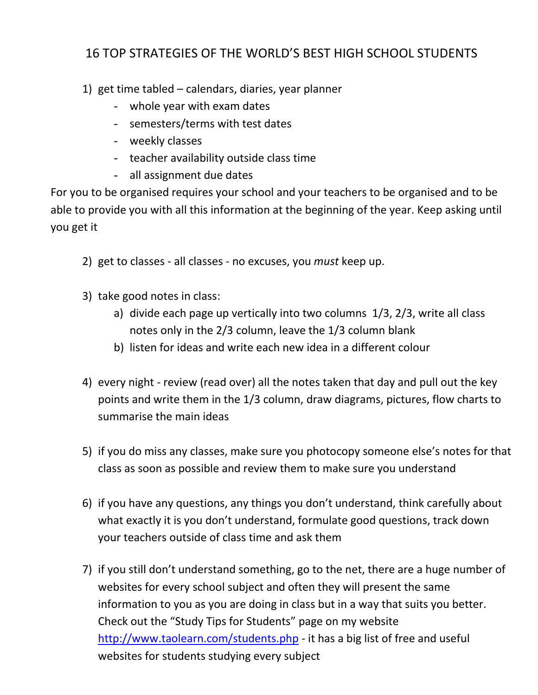## 16 TOP STRATEGIES OF THE WORLD'S BEST HIGH SCHOOL STUDENTS

- 1) get time tabled calendars, diaries, year planner
	- whole year with exam dates
	- semesters/terms with test dates
	- weekly classes
	- teacher availability outside class time
	- all assignment due dates

For you to be organised requires your school and your teachers to be organised and to be able to provide you with all this information at the beginning of the year. Keep asking until you get it

- 2) get to classes all classes no excuses, you *must* keep up.
- 3) take good notes in class:
	- a) divide each page up vertically into two columns 1/3, 2/3, write all class notes only in the 2/3 column, leave the 1/3 column blank
	- b) listen for ideas and write each new idea in a different colour
- 4) every night review (read over) all the notes taken that day and pull out the key points and write them in the 1/3 column, draw diagrams, pictures, flow charts to summarise the main ideas
- 5) if you do miss any classes, make sure you photocopy someone else's notes for that class as soon as possible and review them to make sure you understand
- 6) if you have any questions, any things you don't understand, think carefully about what exactly it is you don't understand, formulate good questions, track down your teachers outside of class time and ask them
- 7) if you still don't understand something, go to the net, there are a huge number of websites for every school subject and often they will present the same information to you as you are doing in class but in a way that suits you better. Check out the "Study Tips for Students" page on my website <http://www.taolearn.com/students.php> - it has a big list of free and useful websites for students studying every subject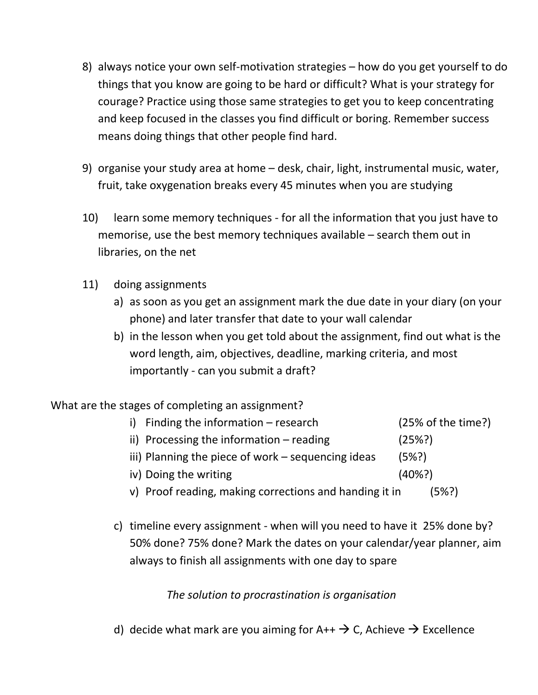- 8) always notice your own self-motivation strategies how do you get yourself to do things that you know are going to be hard or difficult? What is your strategy for courage? Practice using those same strategies to get you to keep concentrating and keep focused in the classes you find difficult or boring. Remember success means doing things that other people find hard.
- 9) organise your study area at home desk, chair, light, instrumental music, water, fruit, take oxygenation breaks every 45 minutes when you are studying
- 10) learn some memory techniques for all the information that you just have to memorise, use the best memory techniques available – search them out in libraries, on the net
- 11) doing assignments
	- a) as soon as you get an assignment mark the due date in your diary (on your phone) and later transfer that date to your wall calendar
	- b) in the lesson when you get told about the assignment, find out what is the word length, aim, objectives, deadline, marking criteria, and most importantly - can you submit a draft?

What are the stages of completing an assignment?

- i) Finding the information research (25% of the time?) ii) Processing the information – reading  $(25\%)$ iii) Planning the piece of work – sequencing ideas  $(5\%)$
- iv) Doing the writing (40%?)
- 
- v) Proof reading, making corrections and handing it in (5%?)
- c) timeline every assignment when will you need to have it 25% done by? 50% done? 75% done? Mark the dates on your calendar/year planner, aim always to finish all assignments with one day to spare

*The solution to procrastination is organisation*

d) decide what mark are you aiming for  $A++\rightarrow C$ , Achieve  $\rightarrow$  Excellence